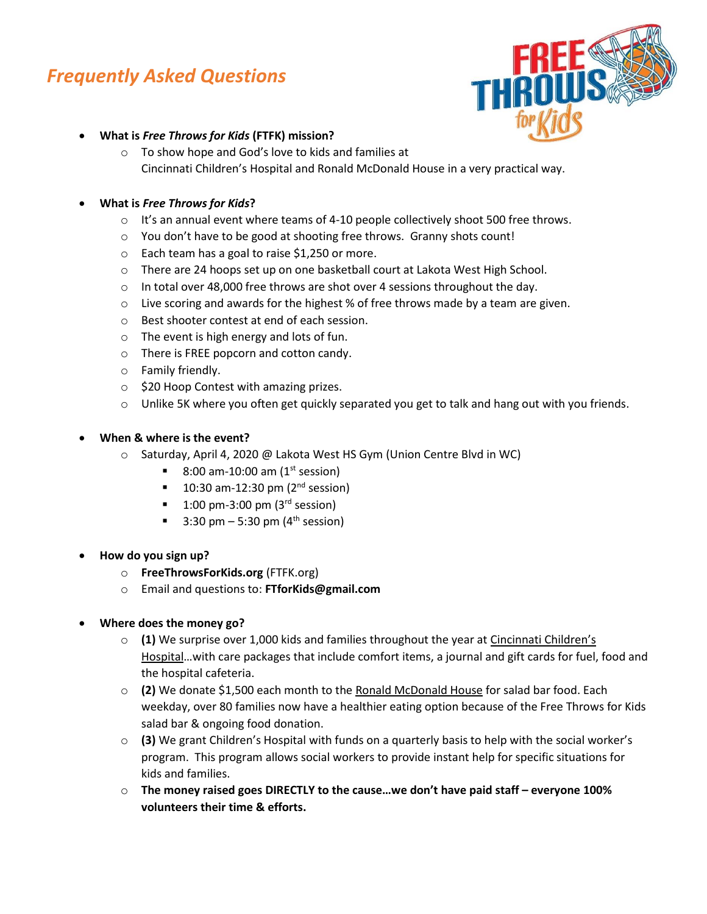# *Frequently Asked Questions*



- **What is** *Free Throws for Kids* **(FTFK) mission?**
	- o To show hope and God's love to kids and families at Cincinnati Children's Hospital and Ronald McDonald House in a very practical way.

# • **What is** *Free Throws for Kids***?**

- $\circ$  It's an annual event where teams of 4-10 people collectively shoot 500 free throws.
- o You don't have to be good at shooting free throws. Granny shots count!
- o Each team has a goal to raise \$1,250 or more.
- o There are 24 hoops set up on one basketball court at Lakota West High School.
- $\circ$  In total over 48,000 free throws are shot over 4 sessions throughout the day.
- $\circ$  Live scoring and awards for the highest % of free throws made by a team are given.
- o Best shooter contest at end of each session.
- o The event is high energy and lots of fun.
- o There is FREE popcorn and cotton candy.
- o Family friendly.
- o \$20 Hoop Contest with amazing prizes.
- o Unlike 5K where you often get quickly separated you get to talk and hang out with you friends.

## • **When & where is the event?**

- o Saturday, April 4, 2020 @ Lakota West HS Gym (Union Centre Blvd in WC)
	- 8:00 am-10:00 am  $(1^{st}$  session)
	- 10:30 am-12:30 pm  $(2<sup>nd</sup> session)$
	- $\blacksquare$  1:00 pm-3:00 pm (3<sup>rd</sup> session)
	- 3:30 pm 5:30 pm ( $4<sup>th</sup>$  session)
- **How do you sign up?**
	- o **FreeThrowsForKids.org** (FTFK.org)
	- o Email and questions to: **FTforKids@gmail.com**

## • **Where does the money go?**

- o **(1)** We surprise over 1,000 kids and families throughout the year at Cincinnati Children's Hospital…with care packages that include comfort items, a journal and gift cards for fuel, food and the hospital cafeteria.
- o **(2)** We donate \$1,500 each month to the Ronald McDonald House for salad bar food. Each weekday, over 80 families now have a healthier eating option because of the Free Throws for Kids salad bar & ongoing food donation.
- o **(3)** We grant Children's Hospital with funds on a quarterly basis to help with the social worker's program. This program allows social workers to provide instant help for specific situations for kids and families.
- o **The money raised goes DIRECTLY to the cause…we don't have paid staff – everyone 100% volunteers their time & efforts.**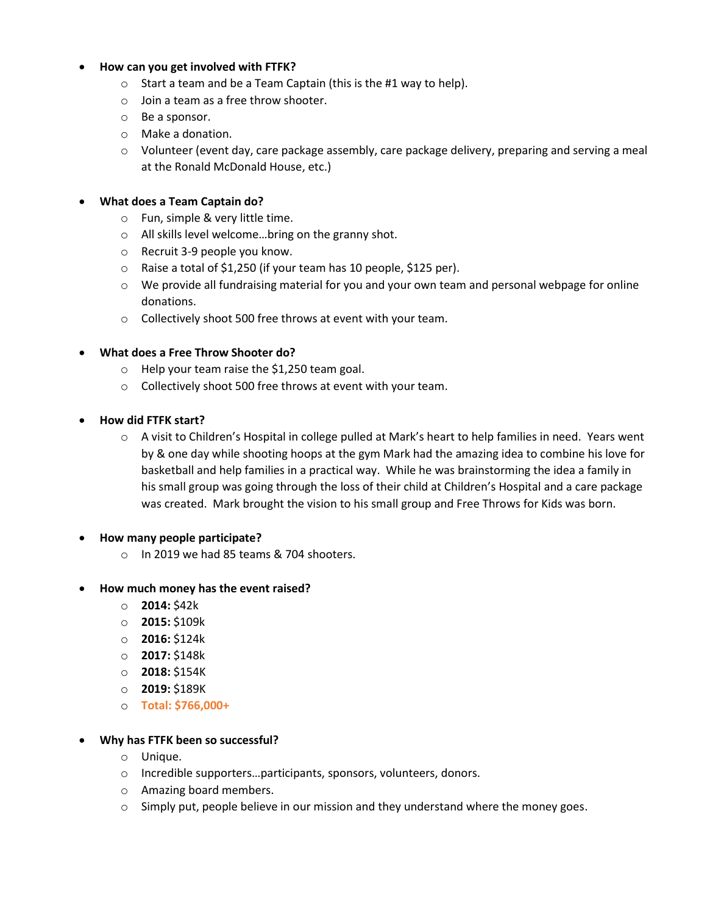#### • **How can you get involved with FTFK?**

- $\circ$  Start a team and be a Team Captain (this is the #1 way to help).
- o Join a team as a free throw shooter.
- o Be a sponsor.
- o Make a donation.
- o Volunteer (event day, care package assembly, care package delivery, preparing and serving a meal at the Ronald McDonald House, etc.)

#### • **What does a Team Captain do?**

- o Fun, simple & very little time.
- o All skills level welcome…bring on the granny shot.
- o Recruit 3-9 people you know.
- o Raise a total of \$1,250 (if your team has 10 people, \$125 per).
- $\circ$  We provide all fundraising material for you and your own team and personal webpage for online donations.
- o Collectively shoot 500 free throws at event with your team.

## • **What does a Free Throw Shooter do?**

- o Help your team raise the \$1,250 team goal.
- o Collectively shoot 500 free throws at event with your team.
- **How did FTFK start?**
	- o A visit to Children's Hospital in college pulled at Mark's heart to help families in need. Years went by & one day while shooting hoops at the gym Mark had the amazing idea to combine his love for basketball and help families in a practical way. While he was brainstorming the idea a family in his small group was going through the loss of their child at Children's Hospital and a care package was created. Mark brought the vision to his small group and Free Throws for Kids was born.

## • **How many people participate?**

o In 2019 we had 85 teams & 704 shooters.

## • **How much money has the event raised?**

- o **2014:** \$42k
- o **2015:** \$109k
- o **2016:** \$124k
- o **2017:** \$148k
- o **2018:** \$154K
- o **2019:** \$189K
- o **Total: \$766,000+**

## • **Why has FTFK been so successful?**

- o Unique.
- o Incredible supporters…participants, sponsors, volunteers, donors.
- o Amazing board members.
- $\circ$  Simply put, people believe in our mission and they understand where the money goes.